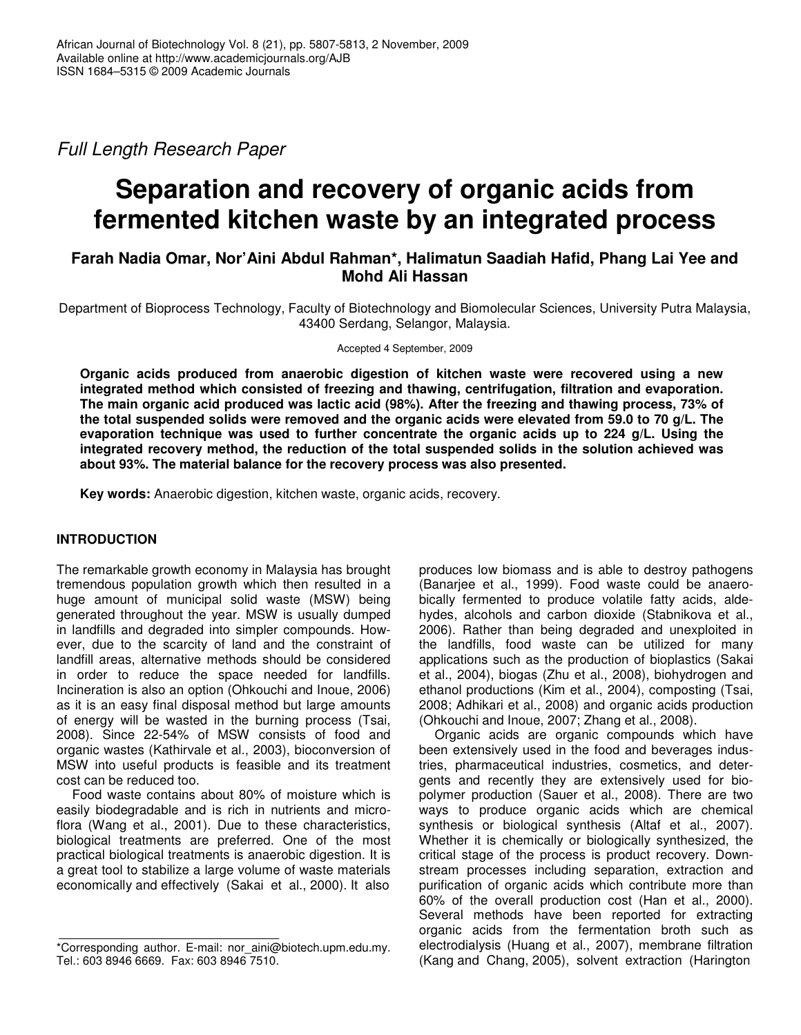*Full Length Research Paper*

# **Separation and recovery of organic acids from fermented kitchen waste by an integrated process**

# **Farah Nadia Omar, Nor'Aini Abdul Rahman\*, Halimatun Saadiah Hafid, Phang Lai Yee and Mohd Ali Hassan**

Department of Bioprocess Technology, Faculty of Biotechnology and Biomolecular Sciences, University Putra Malaysia, 43400 Serdang, Selangor, Malaysia.

Accepted 4 September, 2009

**Organic acids produced from anaerobic digestion of kitchen waste were recovered using a new integrated method which consisted of freezing and thawing, centrifugation, filtration and evaporation. The main organic acid produced was lactic acid (98%). After the freezing and thawing process, 73% of** the total suspended solids were removed and the organic acids were elevated from 59.0 to 70 g/L. The **evaporation technique was used to further concentrate the organic acids up to 224 g/L. Using the integrated recovery method, the reduction of the total suspended solids in the solution achieved was about 93%. The material balance for the recovery process was also presented.**

**Key words:** Anaerobic digestion, kitchen waste, organic acids, recovery.

# **INTRODUCTION**

The remarkable growth economy in Malaysia has brought tremendous population growth which then resulted in a huge amount of municipal solid waste (MSW) being generated throughout the year. MSW is usually dumped in landfills and degraded into simpler compounds. However, due to the scarcity of land and the constraint of landfill areas, alternative methods should be considered in order to reduce the space needed for landfills. Incineration is also an option (Ohkouchi and Inoue, 2006) as it is an easy final disposal method but large amounts of energy will be wasted in the burning process (Tsai, 2008). Since 22-54% of MSW consists of food and organic wastes (Kathirvale et al., 2003), bioconversion of MSW into useful products is feasible and its treatment cost can be reduced too.

Food waste contains about 80% of moisture which is easily biodegradable and is rich in nutrients and microflora (Wang et al., 2001). Due to these characteristics, biological treatments are preferred. One of the most practical biological treatments is anaerobic digestion. It is a great tool to stabilize a large volume of waste materials economically and effectively (Sakai et al., 2000). It also

produces low biomass and is able to destroy pathogens (Banarjee et al., 1999). Food waste could be anaerobically fermented to produce volatile fatty acids, aldehydes, alcohols and carbon dioxide (Stabnikova et al., 2006). Rather than being degraded and unexploited in the landfills, food waste can be utilized for many applications such as the production of bioplastics (Sakai et al., 2004), biogas (Zhu et al., 2008), biohydrogen and ethanol productions (Kim et al., 2004), composting (Tsai, 2008; Adhikari et al., 2008) and organic acids production (Ohkouchi and Inoue, 2007; Zhang et al., 2008).

Organic acids are organic compounds which have been extensively used in the food and beverages industries, pharmaceutical industries, cosmetics, and detergents and recently they are extensively used for biopolymer production (Sauer et al., 2008). There are two ways to produce organic acids which are chemical synthesis or biological synthesis (Altaf et al., 2007). Whether it is chemically or biologically synthesized, the critical stage of the process is product recovery. Downstream processes including separation, extraction and purification of organic acids which contribute more than 60% of the overall production cost (Han et al., 2000). Several methods have been reported for extracting organic acids from the fermentation broth such as electrodialysis (Huang et al., 2007), membrane filtration (Kang and Chang, 2005), solvent extraction (Harington

<sup>\*</sup>Corresponding author. E-mail: nor\_aini@biotech.upm.edu.my. Tel.: 603 8946 6669. Fax: 603 8946 7510.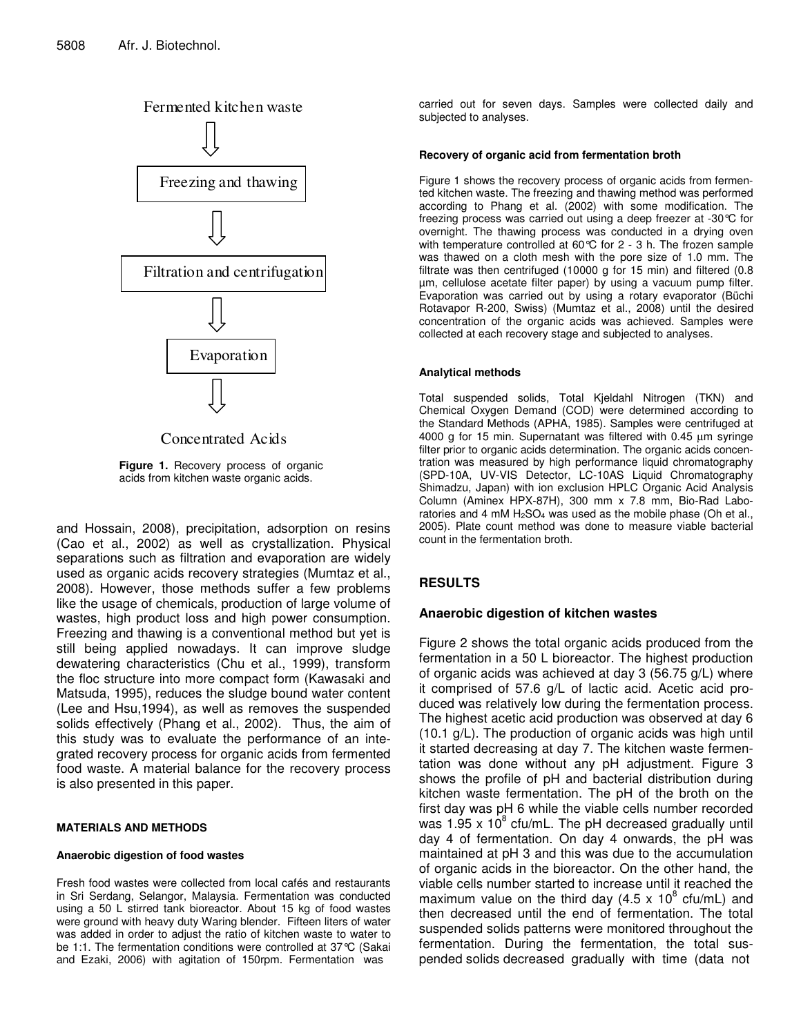

Concentrated Acids

**Figure 1.** Recovery process of organic acids from kitchen waste organic acids.

and Hossain, 2008), precipitation, adsorption on resins (Cao et al., 2002) as well as crystallization. Physical separations such as filtration and evaporation are widely used as organic acids recovery strategies (Mumtaz et al., 2008). However, those methods suffer a few problems like the usage of chemicals, production of large volume of wastes, high product loss and high power consumption. Freezing and thawing is a conventional method but yet is still being applied nowadays. It can improve sludge dewatering characteristics (Chu et al., 1999), transform the floc structure into more compact form (Kawasaki and Matsuda, 1995), reduces the sludge bound water content (Lee and Hsu,1994), as well as removes the suspended solids effectively (Phang et al., 2002). Thus, the aim of this study was to evaluate the performance of an integrated recovery process for organic acids from fermented food waste. A material balance for the recovery process is also presented in this paper.

#### **MATERIALS AND METHODS**

#### **Anaerobic digestion of food wastes**

Fresh food wastes were collected from local cafés and restaurants in Sri Serdang, Selangor, Malaysia. Fermentation was conducted using a 50 L stirred tank bioreactor. About 15 kg of food wastes were ground with heavy duty Waring blender. Fifteen liters of water was added in order to adjust the ratio of kitchen waste to water to be 1:1. The fermentation conditions were controlled at 37°C (Sakai and Ezaki, 2006) with agitation of 150rpm. Fermentation was

carried out for seven days. Samples were collected daily and subjected to analyses.

#### **Recovery of organic acid from fermentation broth**

Figure 1 shows the recovery process of organic acids from fermented kitchen waste. The freezing and thawing method was performed according to Phang et al. (2002) with some modification. The freezing process was carried out using a deep freezer at -30°C for overnight. The thawing process was conducted in a drying oven with temperature controlled at 60°C for 2 - 3 h. The frozen sample was thawed on a cloth mesh with the pore size of 1.0 mm. The filtrate was then centrifuged (10000 g for 15 min) and filtered (0.8 µm, cellulose acetate filter paper) by using a vacuum pump filter. Evaporation was carried out by using a rotary evaporator (Büchi Rotavapor R-200, Swiss) (Mumtaz et al., 2008) until the desired concentration of the organic acids was achieved. Samples were collected at each recovery stage and subjected to analyses.

#### **Analytical methods**

Total suspended solids, Total Kjeldahl Nitrogen (TKN) and Chemical Oxygen Demand (COD) were determined according to the Standard Methods (APHA, 1985). Samples were centrifuged at 4000 g for 15 min. Supernatant was filtered with 0.45 µm syringe filter prior to organic acids determination. The organic acids concentration was measured by high performance liquid chromatography (SPD-10A, UV-VIS Detector, LC-10AS Liquid Chromatography Shimadzu, Japan) with ion exclusion HPLC Organic Acid Analysis Column (Aminex HPX-87H), 300 mm x 7.8 mm, Bio-Rad Laboratories and 4 mM  $H<sub>2</sub>SO<sub>4</sub>$  was used as the mobile phase (Oh et al., 2005). Plate count method was done to measure viable bacterial count in the fermentation broth.

## **RESULTS**

## **Anaerobic digestion of kitchen wastes**

Figure 2 shows the total organic acids produced from the fermentation in a 50 L bioreactor. The highest production of organic acids was achieved at day 3 (56.75 g/L) where it comprised of 57.6 g/L of lactic acid. Acetic acid produced was relatively low during the fermentation process. The highest acetic acid production was observed at day 6 (10.1 g/L). The production of organic acids was high until it started decreasing at day 7. The kitchen waste fermentation was done without any pH adjustment. Figure 3 shows the profile of pH and bacterial distribution during kitchen waste fermentation. The pH of the broth on the first day was pH 6 while the viable cells number recorded was 1.95 x 10 $^{8}$  cfu/mL. The pH decreased gradually until day 4 of fermentation. On day 4 onwards, the pH was maintained at pH 3 and this was due to the accumulation of organic acids in the bioreactor. On the other hand, the viable cells number started to increase until it reached the maximum value on the third day (4.5 x 10 $^8$  cfu/mL) and then decreased until the end of fermentation. The total suspended solids patterns were monitored throughout the fermentation. During the fermentation, the total suspended solids decreased gradually with time (data not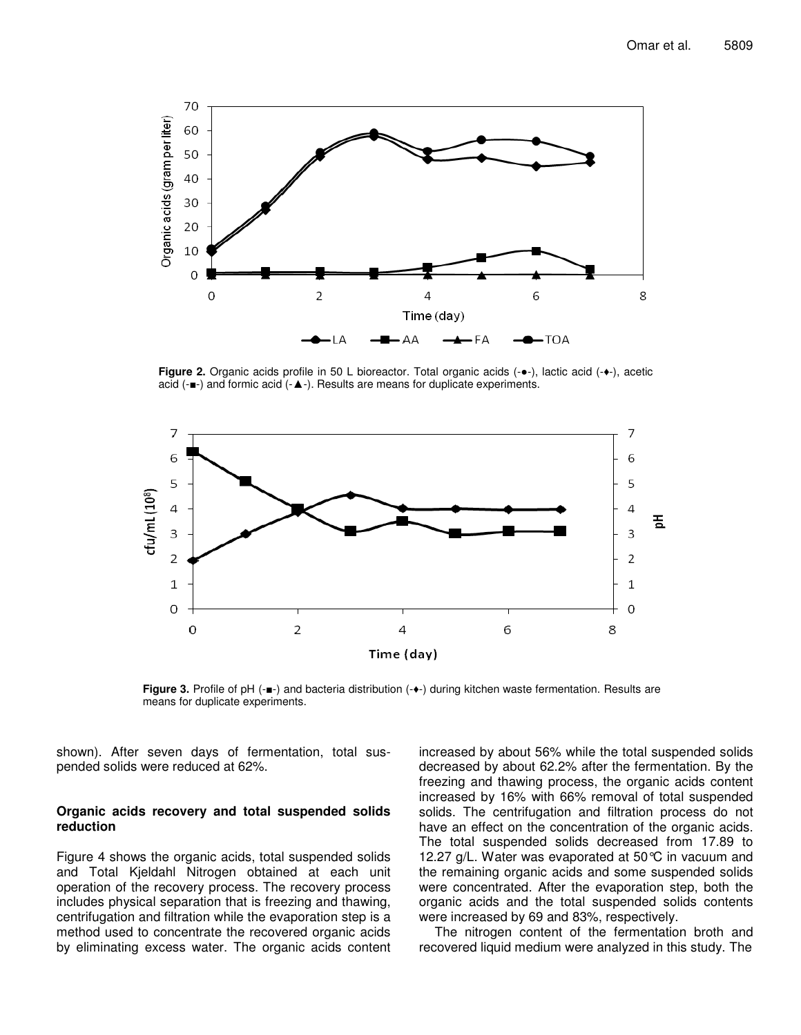

Figure 2. Organic acids profile in 50 L bioreactor. Total organic acids (- $\bullet$ -), lactic acid (- $\bullet$ -), acetic acid ( $-\blacksquare$ ) and formic acid ( $-\blacktriangle$ -). Results are means for duplicate experiments.



Figure 3. Profile of pH (- $\blacksquare$ -) and bacteria distribution (- $\blacklozenge$ ) during kitchen waste fermentation. Results are means for duplicate experiments.

shown). After seven days of fermentation, total suspended solids were reduced at 62%.

#### **Organic acids recovery and total suspended solids reduction**

Figure 4 shows the organic acids, total suspended solids and Total Kjeldahl Nitrogen obtained at each unit operation of the recovery process. The recovery process includes physical separation that is freezing and thawing, centrifugation and filtration while the evaporation step is a method used to concentrate the recovered organic acids by eliminating excess water. The organic acids content increased by about 56% while the total suspended solids decreased by about 62.2% after the fermentation. By the freezing and thawing process, the organic acids content increased by 16% with 66% removal of total suspended solids. The centrifugation and filtration process do not have an effect on the concentration of the organic acids. The total suspended solids decreased from 17.89 to 12.27 g/L. Water was evaporated at 50°C in vacuum and the remaining organic acids and some suspended solids were concentrated. After the evaporation step, both the organic acids and the total suspended solids contents were increased by 69 and 83%, respectively.

The nitrogen content of the fermentation broth and recovered liquid medium were analyzed in this study. The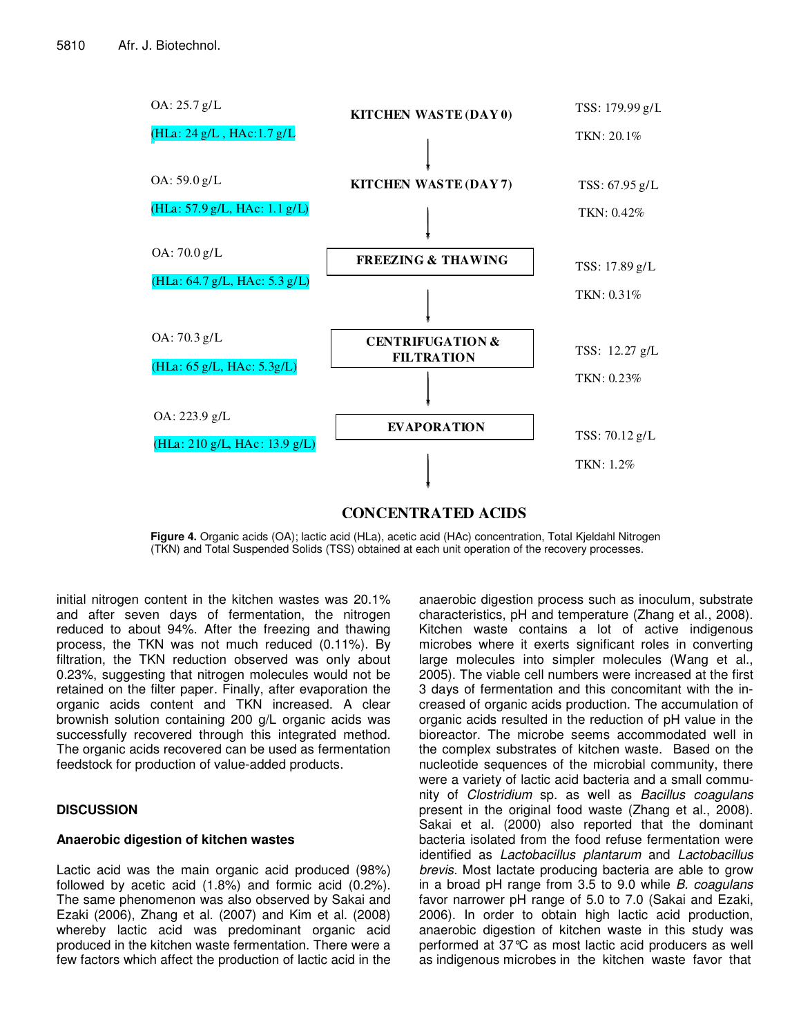

**Figure 4.** Organic acids (OA); lactic acid (HLa), acetic acid (HAc) concentration, Total Kieldahl Nitrogen

(TKN) and Total Suspended Solids (TSS) obtained at each unit operation of the recovery processes.

initial nitrogen content in the kitchen wastes was 20.1% and after seven days of fermentation, the nitrogen reduced to about 94%. After the freezing and thawing process, the TKN was not much reduced (0.11%). By filtration, the TKN reduction observed was only about 0.23%, suggesting that nitrogen molecules would not be retained on the filter paper. Finally, after evaporation the organic acids content and TKN increased. A clear brownish solution containing 200 g/L organic acids was successfully recovered through this integrated method. The organic acids recovered can be used as fermentation feedstock for production of value-added products.

# **DISCUSSION**

## **Anaerobic digestion of kitchen wastes**

Lactic acid was the main organic acid produced (98%) followed by acetic acid (1.8%) and formic acid (0.2%). The same phenomenon was also observed by Sakai and Ezaki (2006), Zhang et al. (2007) and Kim et al. (2008) whereby lactic acid was predominant organic acid produced in the kitchen waste fermentation. There were a few factors which affect the production of lactic acid in the anaerobic digestion process such as inoculum, substrate characteristics, pH and temperature (Zhang et al., 2008). Kitchen waste contains a lot of active indigenous microbes where it exerts significant roles in converting large molecules into simpler molecules (Wang et al., 2005). The viable cell numbers were increased at the first 3 days of fermentation and this concomitant with the increased of organic acids production. The accumulation of organic acids resulted in the reduction of pH value in the bioreactor. The microbe seems accommodated well in the complex substrates of kitchen waste. Based on the nucleotide sequences of the microbial community, there were a variety of lactic acid bacteria and a small community of *Clostridium* sp. as well as *Bacillus coagulans* present in the original food waste (Zhang et al., 2008). Sakai et al. (2000) also reported that the dominant bacteria isolated from the food refuse fermentation were identified as *Lactobacillus plantarum* and *Lactobacillus brevis*. Most lactate producing bacteria are able to grow in a broad pH range from 3.5 to 9.0 while *B. coagulans* favor narrower pH range of 5.0 to 7.0 (Sakai and Ezaki, 2006). In order to obtain high lactic acid production, anaerobic digestion of kitchen waste in this study was performed at 37°C as most lactic acid producers as well as indigenous microbes in the kitchen waste favor that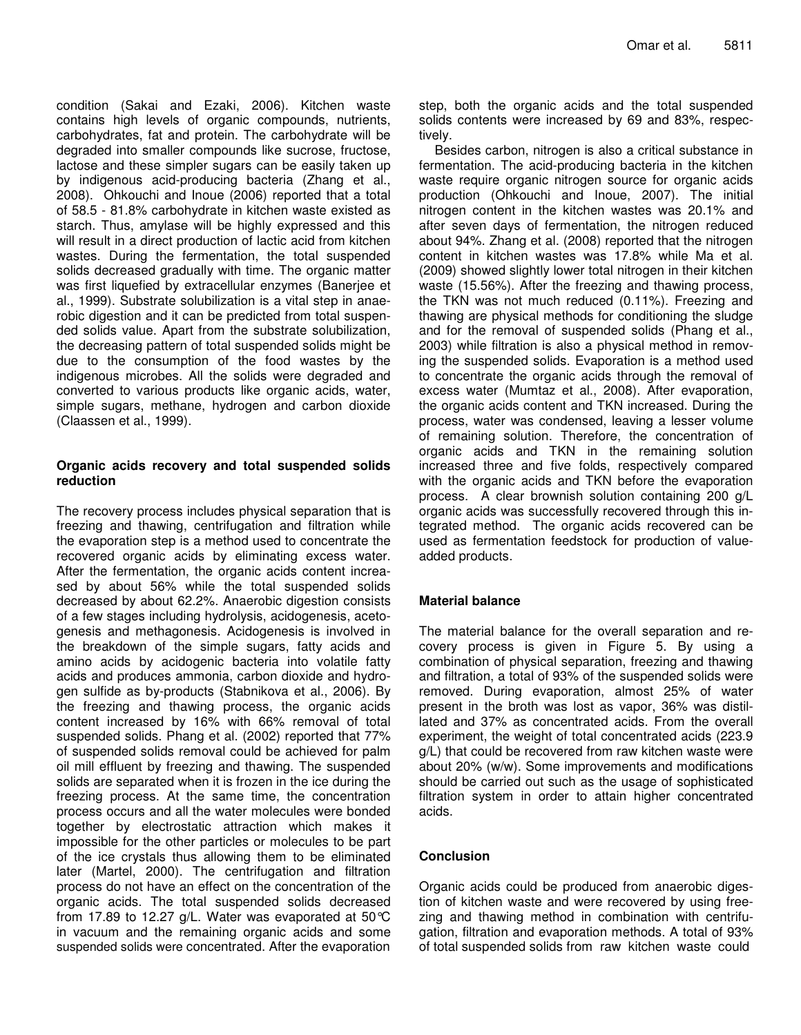condition (Sakai and Ezaki, 2006). Kitchen waste contains high levels of organic compounds, nutrients, carbohydrates, fat and protein. The carbohydrate will be degraded into smaller compounds like sucrose, fructose, lactose and these simpler sugars can be easily taken up by indigenous acid-producing bacteria (Zhang et al., 2008). Ohkouchi and Inoue (2006) reported that a total of 58.5 - 81.8% carbohydrate in kitchen waste existed as starch. Thus, amylase will be highly expressed and this will result in a direct production of lactic acid from kitchen wastes. During the fermentation, the total suspended solids decreased gradually with time. The organic matter was first liquefied by extracellular enzymes (Banerjee et al., 1999). Substrate solubilization is a vital step in anaerobic digestion and it can be predicted from total suspended solids value. Apart from the substrate solubilization, the decreasing pattern of total suspended solids might be due to the consumption of the food wastes by the indigenous microbes. All the solids were degraded and converted to various products like organic acids, water, simple sugars, methane, hydrogen and carbon dioxide (Claassen et al., 1999).

#### **Organic acids recovery and total suspended solids reduction**

The recovery process includes physical separation that is freezing and thawing, centrifugation and filtration while the evaporation step is a method used to concentrate the recovered organic acids by eliminating excess water. After the fermentation, the organic acids content increased by about 56% while the total suspended solids decreased by about 62.2%. Anaerobic digestion consists of a few stages including hydrolysis, acidogenesis, acetogenesis and methagonesis. Acidogenesis is involved in the breakdown of the simple sugars, fatty acids and amino acids by acidogenic bacteria into volatile fatty acids and produces ammonia, carbon dioxide and hydrogen sulfide as by-products (Stabnikova et al., 2006). By the freezing and thawing process, the organic acids content increased by 16% with 66% removal of total suspended solids. Phang et al. (2002) reported that 77% of suspended solids removal could be achieved for palm oil mill effluent by freezing and thawing. The suspended solids are separated when it is frozen in the ice during the freezing process. At the same time, the concentration process occurs and all the water molecules were bonded together by electrostatic attraction which makes it impossible for the other particles or molecules to be part of the ice crystals thus allowing them to be eliminated later (Martel, 2000). The centrifugation and filtration process do not have an effect on the concentration of the organic acids. The total suspended solids decreased from 17.89 to 12.27 g/L. Water was evaporated at  $50^{\circ}$ C in vacuum and the remaining organic acids and some suspended solids were concentrated. After the evaporation

step, both the organic acids and the total suspended solids contents were increased by 69 and 83%, respectively.

Besides carbon, nitrogen is also a critical substance in fermentation. The acid-producing bacteria in the kitchen waste require organic nitrogen source for organic acids production (Ohkouchi and Inoue, 2007). The initial nitrogen content in the kitchen wastes was 20.1% and after seven days of fermentation, the nitrogen reduced about 94%. Zhang et al. (2008) reported that the nitrogen content in kitchen wastes was 17.8% while Ma et al. (2009) showed slightly lower total nitrogen in their kitchen waste (15.56%). After the freezing and thawing process, the TKN was not much reduced (0.11%). Freezing and thawing are physical methods for conditioning the sludge and for the removal of suspended solids (Phang et al., 2003) while filtration is also a physical method in removing the suspended solids. Evaporation is a method used to concentrate the organic acids through the removal of excess water (Mumtaz et al., 2008). After evaporation, the organic acids content and TKN increased. During the process, water was condensed, leaving a lesser volume of remaining solution. Therefore, the concentration of organic acids and TKN in the remaining solution increased three and five folds, respectively compared with the organic acids and TKN before the evaporation process. A clear brownish solution containing 200 g/L organic acids was successfully recovered through this integrated method. The organic acids recovered can be used as fermentation feedstock for production of valueadded products.

# **Material balance**

The material balance for the overall separation and recovery process is given in Figure 5. By using a combination of physical separation, freezing and thawing and filtration, a total of 93% of the suspended solids were removed. During evaporation, almost 25% of water present in the broth was lost as vapor, 36% was distillated and 37% as concentrated acids. From the overall experiment, the weight of total concentrated acids (223.9 g/L) that could be recovered from raw kitchen waste were about 20% (w/w). Some improvements and modifications should be carried out such as the usage of sophisticated filtration system in order to attain higher concentrated acids.

## **Conclusion**

Organic acids could be produced from anaerobic digestion of kitchen waste and were recovered by using freezing and thawing method in combination with centrifugation, filtration and evaporation methods. A total of 93% of total suspended solids from raw kitchen waste could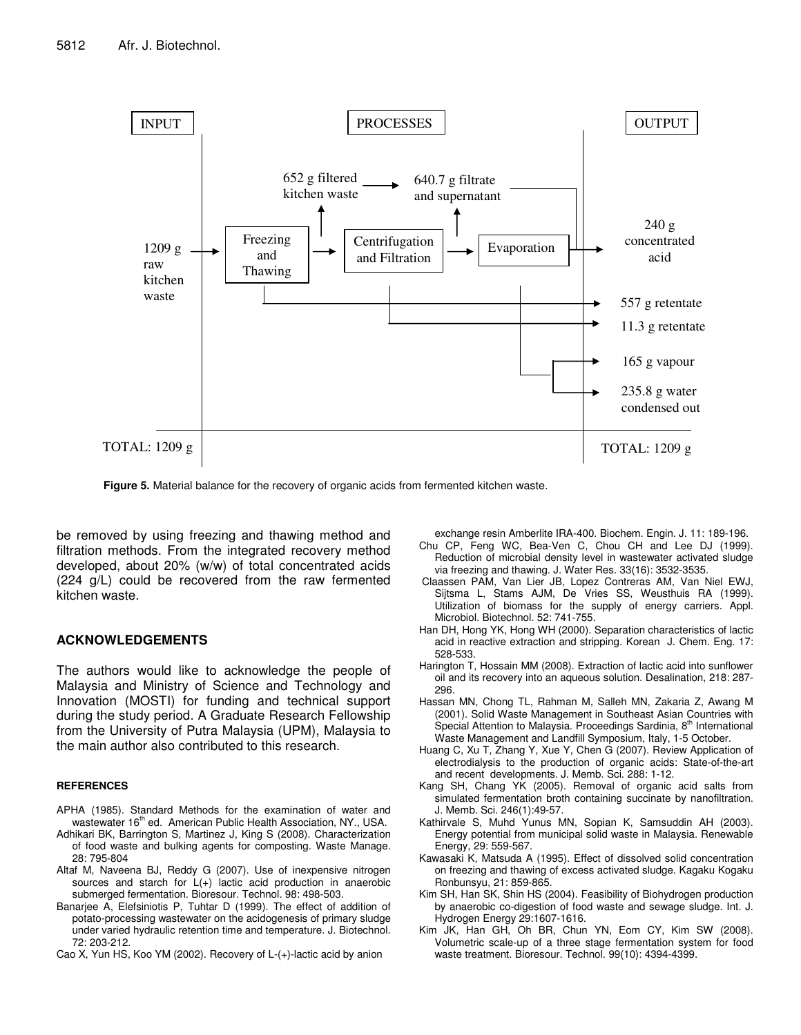

**Figure 5.** Material balance for the recovery of organic acids from fermented kitchen waste.

be removed by using freezing and thawing method and filtration methods. From the integrated recovery method developed, about 20% (w/w) of total concentrated acids (224 g/L) could be recovered from the raw fermented kitchen waste.

#### **ACKNOWLEDGEMENTS**

The authors would like to acknowledge the people of Malaysia and Ministry of Science and Technology and Innovation (MOSTI) for funding and technical support during the study period. A Graduate Research Fellowship from the University of Putra Malaysia (UPM), Malaysia to the main author also contributed to this research.

#### **REFERENCES**

- APHA (1985). Standard Methods for the examination of water and wastewater 16<sup>th</sup> ed. American Public Health Association, NY., USA.
- Adhikari BK, Barrington S, Martinez J, King S (2008). Characterization of food waste and bulking agents for composting. Waste Manage. 28: 795-804
- Altaf M, Naveena BJ, Reddy G (2007). Use of inexpensive nitrogen sources and starch for L(+) lactic acid production in anaerobic submerged fermentation. Bioresour. Technol. 98: 498-503.
- Banarjee A, Elefsiniotis P, Tuhtar D (1999). The effect of addition of potato-processing wastewater on the acidogenesis of primary sludge under varied hydraulic retention time and temperature. J. Biotechnol. 72: 203-212.
- Cao X, Yun HS, Koo YM (2002). Recovery of L-(+)-lactic acid by anion

exchange resin Amberlite IRA-400. Biochem. Engin. J. 11: 189-196.

- Chu CP, Feng WC, Bea-Ven C, Chou CH and Lee DJ (1999). Reduction of microbial density level in wastewater activated sludge via freezing and thawing. J. Water Res. 33(16): 3532-3535.
- Claassen PAM, Van Lier JB, Lopez Contreras AM, Van Niel EWJ, Sijtsma L, Stams AJM, De Vries SS, Weusthuis RA (1999). Utilization of biomass for the supply of energy carriers. Appl. Microbiol. Biotechnol. 52: 741-755.
- Han DH, Hong YK, Hong WH (2000). Separation characteristics of lactic acid in reactive extraction and stripping. Korean J. Chem. Eng. 17: 528-533.
- Harington T, Hossain MM (2008). Extraction of lactic acid into sunflower oil and its recovery into an aqueous solution. Desalination, 218: 287- 296.
- Hassan MN, Chong TL, Rahman M, Salleh MN, Zakaria Z, Awang M (2001). Solid Waste Management in Southeast Asian Countries with Special Attention to Malaysia. Proceedings Sardinia, 8<sup>th</sup> International Waste Management and Landfill Symposium, Italy, 1-5 October.
- Huang C, Xu T, Zhang Y, Xue Y, Chen G (2007). Review Application of electrodialysis to the production of organic acids: State-of-the-art and recent developments. J. Memb. Sci. 288: 1-12.
- Kang SH, Chang YK (2005). Removal of organic acid salts from simulated fermentation broth containing succinate by nanofiltration. J. Memb. Sci. 246(1):49-57.
- Kathirvale S, Muhd Yunus MN, Sopian K, Samsuddin AH (2003). Energy potential from municipal solid waste in Malaysia. Renewable Energy, 29: 559-567.
- Kawasaki K, Matsuda A (1995). Effect of dissolved solid concentration on freezing and thawing of excess activated sludge. Kagaku Kogaku Ronbunsyu, 21: 859-865.
- Kim SH, Han SK, Shin HS (2004). Feasibility of Biohydrogen production by anaerobic co-digestion of food waste and sewage sludge. Int. J. Hydrogen Energy 29:1607-1616.
- Kim JK, Han GH, Oh BR, Chun YN, Eom CY, Kim SW (2008). Volumetric scale-up of a three stage fermentation system for food waste treatment. Bioresour. Technol. 99(10): 4394-4399.